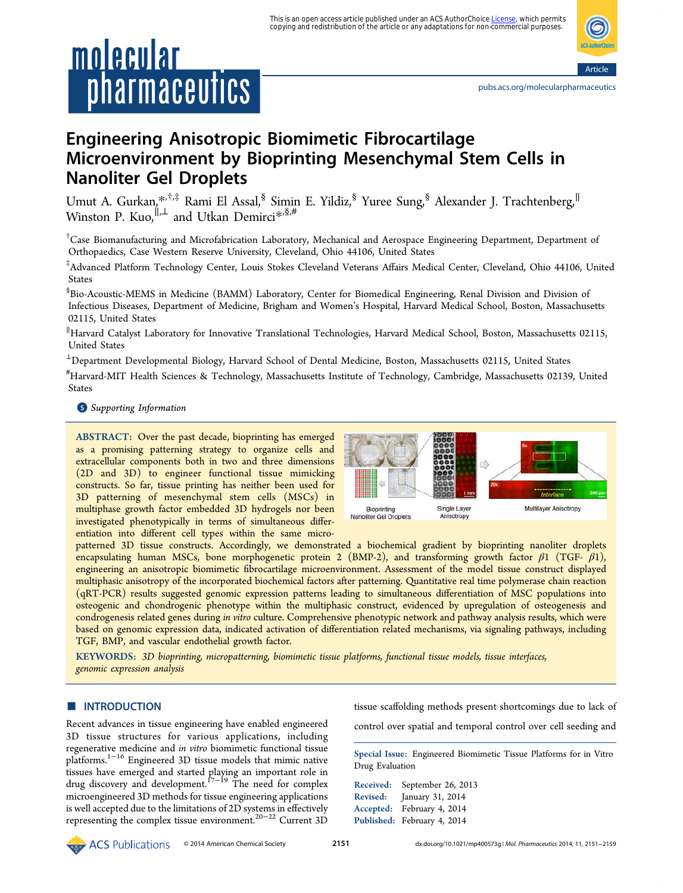This is an open access article published under an ACS AuthorChoice <u>License</u>, which permits<br>copying and redistribution of the article or any adaptations for non-commercial purposes.

# <u>molecular</u> pharmaceutics



# Engineering Anisotropic Biomimetic Fibrocartilage Microenvironment by Bioprinting Mesenchymal Stem Cells in Nanoliter Gel Droplets

Umut A. Gurkan,[\\*](#page-6-0)<sup>,†,‡</sup> Rami El Assal,<sup>§</sup> Simin E. Yildiz,<sup>§</sup> Yuree Sung,<sup>§</sup> Alexander J. Trachtenberg,<sup>∥</sup> Winston P. Kuo,<sup>∥,⊥</sup> and Utkan Demirci<sup>[\\*](#page-6-0),§,#</sup>

 $^\dagger$ Case Biomanufacturing and Microfabrication Laboratory, Mechanical and Aerospace Engineering Department, Department of Orthopaedics, Case Western Reserve University, Cleveland, Ohio 44106, United States

‡ Advanced Platform Technology Center, Louis Stokes Cleveland Veterans Affairs Medical Center, Cleveland, Ohio 44106, United States

§ Bio-Acoustic-MEMS in Medicine (BAMM) Laboratory, Center for Biomedical Engineering, Renal Division and Division of Infectious Diseases, Department of Medicine, Brigham and Women's Hospital, Harvard Medical School, Boston, Massachusetts 02115, United States

∥ Harvard Catalyst Laboratory for Innovative Translational Technologies, Harvard Medical School, Boston, Massachusetts 02115, United States

<sup>⊥</sup>Department Developmental Biology, Harvard School of Dental Medicine, Boston, Massachusetts 02115, United States

# Harvard-MIT Health Sciences & Technology, Massachusetts Institute of Technology, Cambridge, Massachusetts 02139, United States

#### **S** [Supporting Information](#page-6-0)

ABSTRACT: Over the past decade, bioprinting has emerged as a promising patterning strategy to organize cells and extracellular components both in two and three dimensions (2D and 3D) to engineer functional tissue mimicking constructs. So far, tissue printing has neither been used for 3D patterning of mesenchymal stem cells (MSCs) in multiphase growth factor embedded 3D hydrogels nor been investigated phenotypically in terms of simultaneous differentiation into different cell types within the same micro-



patterned 3D tissue constructs. Accordingly, we demonstrated a biochemical gradient by bioprinting nanoliter droplets encapsulating human MSCs, bone morphogenetic protein 2 (BMP-2), and transforming growth factor  $\beta$ 1 (TGF-  $\beta$ 1), engineering an anisotropic biomimetic fibrocartilage microenvironment. Assessment of the model tissue construct displayed multiphasic anisotropy of the incorporated biochemical factors after patterning. Quantitative real time polymerase chain reaction (qRT-PCR) results suggested genomic expression patterns leading to simultaneous differentiation of MSC populations into osteogenic and chondrogenic phenotype within the multiphasic construct, evidenced by upregulation of osteogenesis and condrogenesis related genes during in vitro culture. Comprehensive phenotypic network and pathway analysis results, which were based on genomic expression data, indicated activation of differentiation related mechanisms, via signaling pathways, including TGF, BMP, and vascular endothelial growth factor.

KEYWORDS: 3D bioprinting, micropatterning, biomimetic tissue platforms, functional tissue models, tissue interfaces, genomic expression analysis

# **ENTRODUCTION**

Recent advances in tissue engineering have enabled engineered 3D tissue structures for various applications, including regenerative medicine and in vitro biomimetic functional tissue platforms.<sup>[1](#page-6-0)−[16](#page-7-0)</sup> Engineered 3D tissue models that mimic native tissues have emerged and started playing an important role in drug discovery and development.<sup>[17](#page-7-0)−[19](#page-7-0)</sup> The need for complex microengineered 3D methods for tissue engineering applications is well accepted due to the limitations of 2D systems in effectively representing the complex tissue environment.[20](#page-7-0)−[22](#page-7-0) Current 3D

tissue scaffolding methods present shortcomings due to lack of

control over spatial and temporal control over cell seeding and

Special Issue: Engineered Biomimetic Tissue Platforms for in Vitro Drug Evaluation

Received: September 26, 2013 Revised: January 31, 2014 Accepted: February 4, 2014 Published: February 4, 2014

**ACS** Publications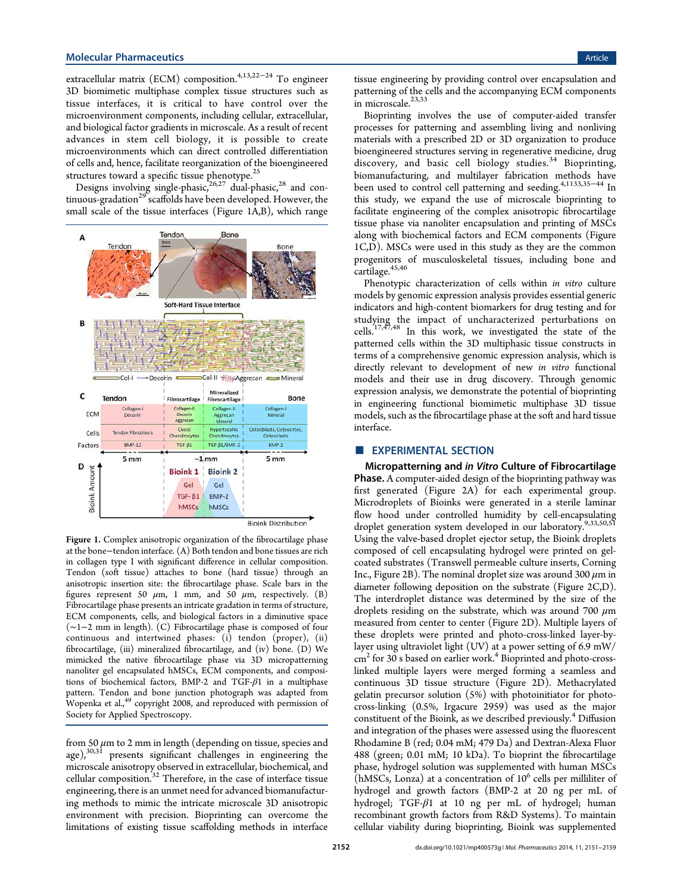<span id="page-1-0"></span>extracellular matrix (ECM) composition.<sup>[4](#page-6-0)[,13](#page-7-0),[22](#page-7-0)-[24](#page-7-0)</sup> To engineer 3D biomimetic multiphase complex tissue structures such as tissue interfaces, it is critical to have control over the microenvironment components, including cellular, extracellular, and biological factor gradients in microscale. As a result of recent advances in stem cell biology, it is possible to create microenvironments which can direct controlled differentiation of cells and, hence, facilitate reorganization of the bioengineered structures toward a specific tissue phenotype.<sup>[25](#page-7-0)</sup>

Designs involving single-phasic,<sup>[26](#page-7-0),[27](#page-7-0)</sup> dual-phasic,<sup>[28](#page-7-0)</sup> and con-tinuous-gradation<sup>[29](#page-7-0)</sup> scaffolds have been developed. However, the small scale of the tissue interfaces (Figure 1A,B), which range



Figure 1. Complex anisotropic organization of the fibrocartilage phase at the bone−tendon interface. (A) Both tendon and bone tissues are rich in collagen type I with significant difference in cellular composition. Tendon (soft tissue) attaches to bone (hard tissue) through an anisotropic insertion site: the fibrocartilage phase. Scale bars in the figures represent 50  $\mu$ m, 1 mm, and 50  $\mu$ m, respectively. (B) Fibrocartilage phase presents an intricate gradation in terms of structure, ECM components, cells, and biological factors in a diminutive space (∼1−2 mm in length). (C) Fibrocartilage phase is composed of four continuous and intertwined phases: (i) tendon (proper), (ii) fibrocartilage, (iii) mineralized fibrocartilage, and (iv) bone. (D) We mimicked the native fibrocartilage phase via 3D micropatterning nanoliter gel encapsulated hMSCs, ECM components, and compositions of biochemical factors, BMP-2 and TGF- $\beta$ 1 in a multiphase pattern. Tendon and bone junction photograph was adapted from Wopenka et al.,<sup>[49](#page-7-0)</sup> copyright 2008, and reproduced with permission of Society for Applied Spectroscopy.

from 50  $\mu$ m to 2 mm in length (depending on tissue, species and age),<sup>[30,31](#page-7-0)</sup> presents significant challenges in engineering the microscale anisotropy observed in extracellular, biochemical, and cellular composition.<sup>[32](#page-7-0)</sup> Therefore, in the case of interface tissue engineering, there is an unmet need for advanced biomanufacturing methods to mimic the intricate microscale 3D anisotropic environment with precision. Bioprinting can overcome the limitations of existing tissue scaffolding methods in interface

tissue engineering by providing control over encapsulation and patterning of the cells and the accompanying ECM components in microscale.<sup>[23](#page-7-0),[33](#page-7-0)</sup>

Bioprinting involves the use of computer-aided transfer processes for patterning and assembling living and nonliving materials with a prescribed 2D or 3D organization to produce bioengineered structures serving in regenerative medicine, drug discovery, and basic cell biology studies.<sup>[34](#page-7-0)</sup> Bioprinting, biomanufacturing, and multilayer fabrication methods have been used to control cell patterning and seeding.[4,11](#page-6-0)[33](#page-7-0),[35](#page-7-0)−[44](#page-7-0) In this study, we expand the use of microscale bioprinting to facilitate engineering of the complex anisotropic fibrocartilage tissue phase via nanoliter encapsulation and printing of MSCs along with biochemical factors and ECM components (Figure 1C,D). MSCs were used in this study as they are the common progenitors of musculoskeletal tissues, including bone and cartilage.<sup>[45,46](#page-7-0)</sup>

Phenotypic characterization of cells within in vitro culture models by genomic expression analysis provides essential generic indicators and high-content biomarkers for drug testing and for studying the impact of uncharacterized perturbations on cells.<sup>[17,47](#page-7-0),[48](#page-7-0)</sup> In this work, we investigated the state of the patterned cells within the 3D multiphasic tissue constructs in terms of a comprehensive genomic expression analysis, which is directly relevant to development of new in vitro functional models and their use in drug discovery. Through genomic expression analysis, we demonstrate the potential of bioprinting in engineering functional biomimetic multiphase 3D tissue models, such as the fibrocartilage phase at the soft and hard tissue interface.

#### **EXPERIMENTAL SECTION**

Micropatterning and in Vitro Culture of Fibrocartilage Phase. A computer-aided design of the bioprinting pathway was first generated (Figure [2](#page-2-0)A) for each experimental group. Microdroplets of Bioinks were generated in a sterile laminar flow hood under controlled humidity by cell-encapsulating droplet generation system developed in our laboratory.<sup>[9](#page-6-0)[,33](#page-7-0),50,5</sup> Using the valve-based droplet ejector setup, the Bioink droplets composed of cell encapsulating hydrogel were printed on gelcoated substrates (Transwell permeable culture inserts, Corning Inc., Figure [2](#page-2-0)B). The nominal droplet size was around 300  $\mu$ m in diameter following deposition on the substrate (Figure [2C](#page-2-0),D). The interdroplet distance was determined by the size of the droplets residing on the substrate, which was around 700  $\mu \mathrm{m}$ measured from center to center (Figure [2](#page-2-0)D). Multiple layers of these droplets were printed and photo-cross-linked layer-bylayer using ultraviolet light (UV) at a power setting of 6.9 mW/ cm<sup>2</sup> for 30 s based on earlier work.<sup>[4](#page-6-0)</sup> Bioprinted and photo-crosslinked multiple layers were merged forming a seamless and continuous 3D tissue structure (Figure [2](#page-2-0)D). Methacrylated gelatin precursor solution (5%) with photoinitiator for photocross-linking (0.5%, Irgacure 2959) was used as the major constituent of the Bioink, as we described previously.<sup>[4](#page-6-0)</sup> Diffusion and integration of the phases were assessed using the fluorescent Rhodamine B (red; 0.04 mM; 479 Da) and Dextran-Alexa Fluor 488 (green; 0.01 mM; 10 kDa). To bioprint the fibrocartilage phase, hydrogel solution was supplemented with human MSCs (hMSCs, Lonza) at a concentration of  $10<sup>6</sup>$  cells per milliliter of hydrogel and growth factors (BMP-2 at 20 ng per mL of hydrogel; TGF-β1 at 10 ng per mL of hydrogel; human recombinant growth factors from R&D Systems). To maintain cellular viability during bioprinting, Bioink was supplemented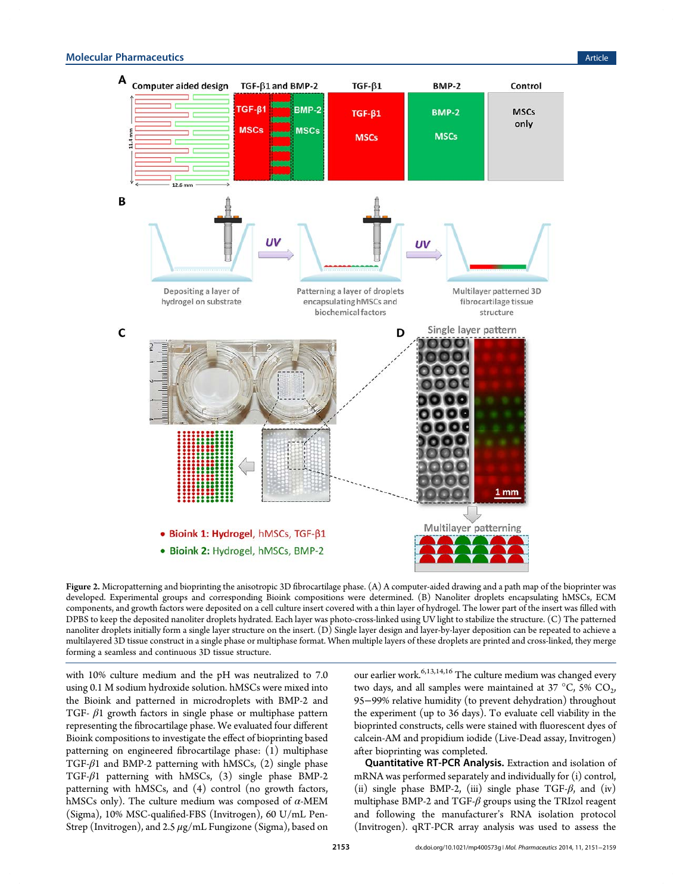<span id="page-2-0"></span>

Figure 2. Micropatterning and bioprinting the anisotropic 3D fibrocartilage phase. (A) A computer-aided drawing and a path map of the bioprinter was developed. Experimental groups and corresponding Bioink compositions were determined. (B) Nanoliter droplets encapsulating hMSCs, ECM components, and growth factors were deposited on a cell culture insert covered with a thin layer of hydrogel. The lower part of the insert was filled with DPBS to keep the deposited nanoliter droplets hydrated. Each layer was photo-cross-linked using UV light to stabilize the structure. (C) The patterned nanoliter droplets initially form a single layer structure on the insert. (D) Single layer design and layer-by-layer deposition can be repeated to achieve a multilayered 3D tissue construct in a single phase or multiphase format. When multiple layers of these droplets are printed and cross-linked, they merge forming a seamless and continuous 3D tissue structure.

with 10% culture medium and the pH was neutralized to 7.0 using 0.1 M sodium hydroxide solution. hMSCs were mixed into the Bioink and patterned in microdroplets with BMP-2 and TGF- $\beta$ 1 growth factors in single phase or multiphase pattern representing the fibrocartilage phase. We evaluated four different Bioink compositions to investigate the effect of bioprinting based patterning on engineered fibrocartilage phase: (1) multiphase TGF- $\beta$ 1 and BMP-2 patterning with hMSCs, (2) single phase TGF- $\beta$ 1 patterning with hMSCs, (3) single phase BMP-2 patterning with hMSCs, and (4) control (no growth factors, hMSCs only). The culture medium was composed of  $\alpha$ -MEM (Sigma), 10% MSC-qualified-FBS (Invitrogen), 60 U/mL Pen-Strep (Invitrogen), and 2.5  $\mu$ g/mL Fungizone (Sigma), based on

our earlier work.<sup>[6](#page-6-0),[13,14](#page-7-0),[16](#page-7-0)</sup> The culture medium was changed every two days, and all samples were maintained at 37 °C, 5%  $CO<sub>2</sub>$ , 95−99% relative humidity (to prevent dehydration) throughout the experiment (up to 36 days). To evaluate cell viability in the bioprinted constructs, cells were stained with fluorescent dyes of calcein-AM and propidium iodide (Live-Dead assay, Invitrogen) after bioprinting was completed.

Quantitative RT-PCR Analysis. Extraction and isolation of mRNA was performed separately and individually for (i) control, (ii) single phase BMP-2, (iii) single phase TGF- $\beta$ , and (iv) multiphase BMP-2 and TGF- $\beta$  groups using the TRIzol reagent and following the manufacturer's RNA isolation protocol (Invitrogen). qRT-PCR array analysis was used to assess the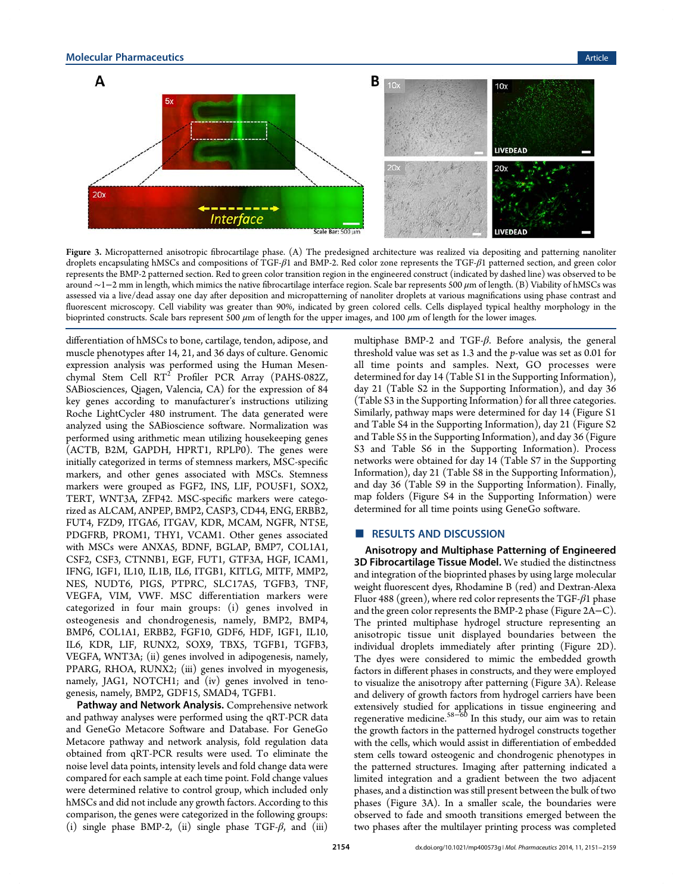<span id="page-3-0"></span>

Figure 3. Micropatterned anisotropic fibrocartilage phase. (A) The predesigned architecture was realized via depositing and patterning nanoliter droplets encapsulating hMSCs and compositions of TGF-β1 and BMP-2. Red color zone represents the TGF-β1 patterned section, and green color represents the BMP-2 patterned section. Red to green color transition region in the engineered construct (indicated by dashed line) was observed to be around ∼1−2 mm in length, which mimics the native fibrocartilage interface region. Scale bar represents 500 μm of length. (B) Viability of hMSCs was assessed via a live/dead assay one day after deposition and micropatterning of nanoliter droplets at various magnifications using phase contrast and fluorescent microscopy. Cell viability was greater than 90%, indicated by green colored cells. Cells displayed typical healthy morphology in the bioprinted constructs. Scale bars represent 500  $\mu$ m of length for the upper images, and 100  $\mu$ m of length for the lower images.

differentiation of hMSCs to bone, cartilage, tendon, adipose, and muscle phenotypes after 14, 21, and 36 days of culture. Genomic expression analysis was performed using the Human Mesenchymal Stem Cell RT<sup>2</sup> Profiler PCR Array (PAHS-082Z, SABiosciences, Qiagen, Valencia, CA) for the expression of 84 key genes according to manufacturer's instructions utilizing Roche LightCycler 480 instrument. The data generated were analyzed using the SABioscience software. Normalization was performed using arithmetic mean utilizing housekeeping genes (ACTB, B2M, GAPDH, HPRT1, RPLP0). The genes were initially categorized in terms of stemness markers, MSC-specific markers, and other genes associated with MSCs. Stemness markers were grouped as FGF2, INS, LIF, POU5F1, SOX2, TERT, WNT3A, ZFP42. MSC-specific markers were categorized as ALCAM, ANPEP, BMP2, CASP3, CD44, ENG, ERBB2, FUT4, FZD9, ITGA6, ITGAV, KDR, MCAM, NGFR, NT5E, PDGFRB, PROM1, THY1, VCAM1. Other genes associated with MSCs were ANXA5, BDNF, BGLAP, BMP7, COL1A1, CSF2, CSF3, CTNNB1, EGF, FUT1, GTF3A, HGF, ICAM1, IFNG, IGF1, IL10, IL1B, IL6, ITGB1, KITLG, MITF, MMP2, NES, NUDT6, PIGS, PTPRC, SLC17A5, TGFB3, TNF, VEGFA, VIM, VWF. MSC differentiation markers were categorized in four main groups: (i) genes involved in osteogenesis and chondrogenesis, namely, BMP2, BMP4, BMP6, COL1A1, ERBB2, FGF10, GDF6, HDF, IGF1, IL10, IL6, KDR, LIF, RUNX2, SOX9, TBX5, TGFB1, TGFB3, VEGFA, WNT3A; (ii) genes involved in adipogenesis, namely, PPARG, RHOA, RUNX2; (iii) genes involved in myogenesis, namely, JAG1, NOTCH1; and (iv) genes involved in tenogenesis, namely, BMP2, GDF15, SMAD4, TGFB1.

Pathway and Network Analysis. Comprehensive network and pathway analyses were performed using the qRT-PCR data and GeneGo Metacore Software and Database. For GeneGo Metacore pathway and network analysis, fold regulation data obtained from qRT-PCR results were used. To eliminate the noise level data points, intensity levels and fold change data were compared for each sample at each time point. Fold change values were determined relative to control group, which included only hMSCs and did not include any growth factors. According to this comparison, the genes were categorized in the following groups: (i) single phase BMP-2, (ii) single phase TGF- $\beta$ , and (iii)

multiphase BMP-2 and TGF-β. Before analysis, the general threshold value was set as 1.3 and the p-value was set as 0.01 for all time points and samples. Next, GO processes were determined for day 14 (Table S1 in the [Supporting Information\)](#page-6-0), day 21 (Table S2 in the [Supporting Information](#page-6-0)), and day 36 (Table S3 in the [Supporting Information](#page-6-0)) for all three categories. Similarly, pathway maps were determined for day 14 (Figure S1 and Table S4 in the [Supporting Information](#page-6-0)), day 21 (Figure S2 and Table S5 in the [Supporting Information\)](#page-6-0), and day 36 (Figure S3 and Table S6 in the [Supporting Information](#page-6-0)). Process networks were obtained for day 14 (Table S7 in the [Supporting](#page-6-0) [Information\)](#page-6-0), day 21 (Table S8 in the [Supporting Information\)](#page-6-0), and day 36 (Table S9 in the [Supporting Information\)](#page-6-0). Finally, map folders (Figure S4 in the [Supporting Information\)](#page-6-0) were determined for all time points using GeneGo software.

#### ■ RESULTS AND DISCUSSION

Anisotropy and Multiphase Patterning of Engineered 3D Fibrocartilage Tissue Model. We studied the distinctness and integration of the bioprinted phases by using large molecular weight fluorescent dyes, Rhodamine B (red) and Dextran-Alexa Fluor 488 (green), where red color represents the TGF- $\beta$ 1 phase and the green color represents the BMP-2 phase (Figure [2](#page-2-0)A−C). The printed multiphase hydrogel structure representing an anisotropic tissue unit displayed boundaries between the individual droplets immediately after printing (Figure [2](#page-2-0)D). The dyes were considered to mimic the embedded growth factors in different phases in constructs, and they were employed to visualize the anisotropy after patterning (Figure 3A). Release and delivery of growth factors from hydrogel carriers have been extensively studied for applications in tissue engineering and regenerative medicine.[58](#page-8-0)−[60](#page-8-0) In this study, our aim was to retain the growth factors in the patterned hydrogel constructs together with the cells, which would assist in differentiation of embedded stem cells toward osteogenic and chondrogenic phenotypes in the patterned structures. Imaging after patterning indicated a limited integration and a gradient between the two adjacent phases, and a distinction was still present between the bulk of two phases (Figure 3A). In a smaller scale, the boundaries were observed to fade and smooth transitions emerged between the two phases after the multilayer printing process was completed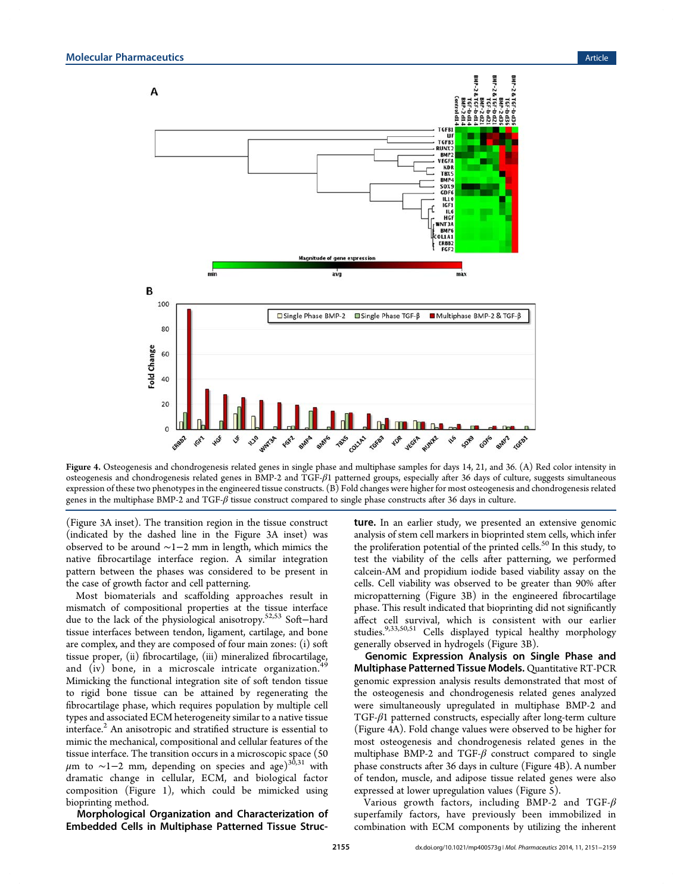

Figure 4. Osteogenesis and chondrogenesis related genes in single phase and multiphase samples for days 14, 21, and 36. (A) Red color intensity in osteogenesis and chondrogenesis related genes in BMP-2 and TGF-β1 patterned groups, especially after 36 days of culture, suggests simultaneous expression of these two phenotypes in the engineered tissue constructs. (B) Fold changes were higher for most osteogenesis and chondrogenesis related genes in the multiphase BMP-2 and TGF- $\beta$  tissue construct compared to single phase constructs after 36 days in culture.

(Figure [3](#page-3-0)A inset). The transition region in the tissue construct (indicated by the dashed line in the Figure [3A](#page-3-0) inset) was observed to be around ∼1−2 mm in length, which mimics the native fibrocartilage interface region. A similar integration pattern between the phases was considered to be present in the case of growth factor and cell patterning.

Most biomaterials and scaffolding approaches result in mismatch of compositional properties at the tissue interface due to the lack of the physiological anisotropy.[52,53](#page-7-0) Soft−hard tissue interfaces between tendon, ligament, cartilage, and bone are complex, and they are composed of four main zones: (i) soft tissue proper, (ii) fibrocartilage, (iii) mineralized fibrocartilage, and (iv) bone, in a microscale intricate organization.<sup>4</sup> Mimicking the functional integration site of soft tendon tissue to rigid bone tissue can be attained by regenerating the fibrocartilage phase, which requires population by multiple cell types and associated ECM heterogeneity similar to a native tissue interface.<sup>[2](#page-6-0)</sup> An anisotropic and stratified structure is essential to mimic the mechanical, compositional and cellular features of the tissue interface. The transition occurs in a microscopic space (50 μm to ~1−2 mm, depending on species and age)<sup>[30,31](#page-7-0)</sup> with dramatic change in cellular, ECM, and biological factor composition (Figure [1\)](#page-1-0), which could be mimicked using bioprinting method.

Morphological Organization and Characterization of Embedded Cells in Multiphase Patterned Tissue Structure. In an earlier study, we presented an extensive genomic analysis of stem cell markers in bioprinted stem cells, which infer the proliferation potential of the printed cells.<sup>[50](#page-7-0)</sup> In this study, to test the viability of the cells after patterning, we performed calcein-AM and propidium iodide based viability assay on the cells. Cell viability was observed to be greater than 90% after micropatterning (Figure [3B](#page-3-0)) in the engineered fibrocartilage phase. This result indicated that bioprinting did not significantly affect cell survival, which is consistent with our earlier studies.<sup>[9](#page-6-0),[33,50](#page-7-0),[51](#page-7-0)</sup> Cells displayed typical healthy morphology generally observed in hydrogels (Figure [3B](#page-3-0)).

Genomic Expression Analysis on Single Phase and Multiphase Patterned Tissue Models. Quantitative RT-PCR genomic expression analysis results demonstrated that most of the osteogenesis and chondrogenesis related genes analyzed were simultaneously upregulated in multiphase BMP-2 and TGF-β1 patterned constructs, especially after long-term culture (Figure 4A). Fold change values were observed to be higher for most osteogenesis and chondrogenesis related genes in the multiphase BMP-2 and TGF- $\beta$  construct compared to single phase constructs after 36 days in culture (Figure 4B). A number of tendon, muscle, and adipose tissue related genes were also expressed at lower upregulation values (Figure [5\)](#page-5-0).

Various growth factors, including BMP-2 and TGF- $\beta$ superfamily factors, have previously been immobilized in combination with ECM components by utilizing the inherent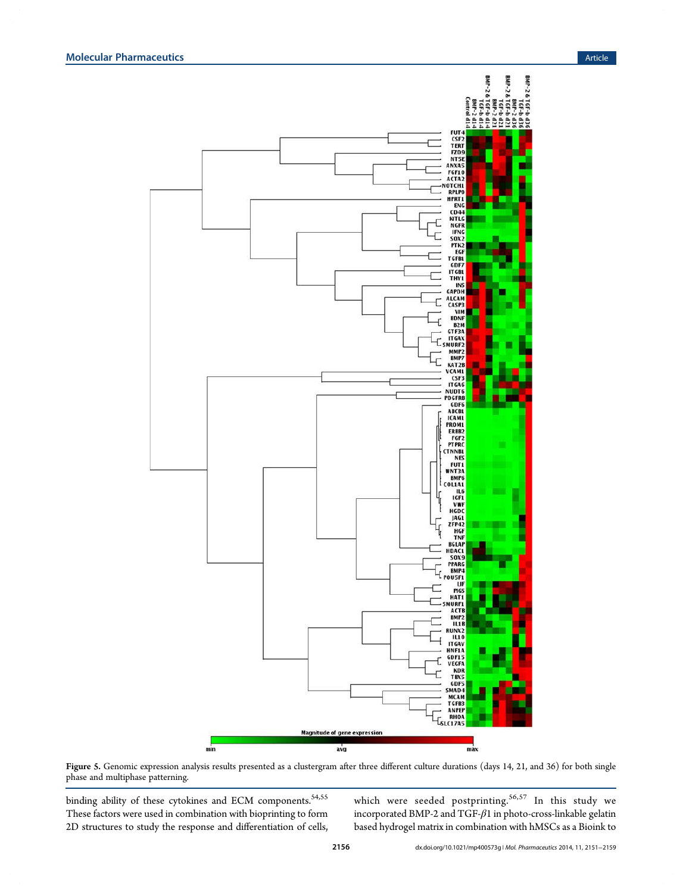<span id="page-5-0"></span>

Figure 5. Genomic expression analysis results presented as a clustergram after three different culture durations (days 14, 21, and 36) for both single phase and multiphase patterning.

binding ability of these cytokines and ECM components.<sup>[54,55](#page-8-0)</sup> These factors were used in combination with bioprinting to form 2D structures to study the response and differentiation of cells,

which were seeded postprinting.<sup>[56,57](#page-8-0)</sup> In this study we incorporated BMP-2 and TGF- $\beta$ 1 in photo-cross-linkable gelatin based hydrogel matrix in combination with hMSCs as a Bioink to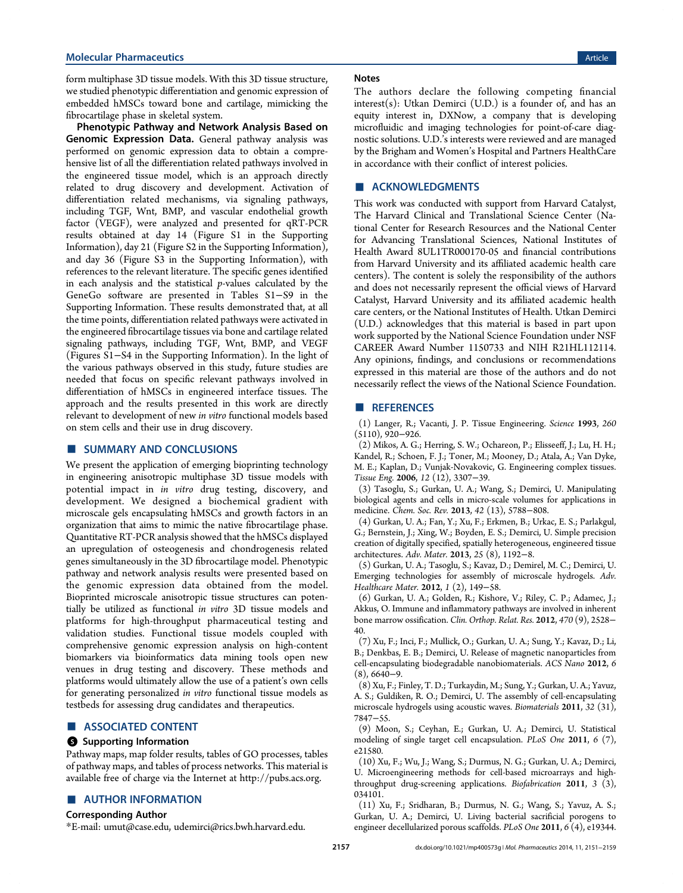#### <span id="page-6-0"></span>Molecular Pharmaceutics Article

form multiphase 3D tissue models. With this 3D tissue structure, we studied phenotypic differentiation and genomic expression of embedded hMSCs toward bone and cartilage, mimicking the fibrocartilage phase in skeletal system.

Phenotypic Pathway and Network Analysis Based on Genomic Expression Data. General pathway analysis was performed on genomic expression data to obtain a comprehensive list of all the differentiation related pathways involved in the engineered tissue model, which is an approach directly related to drug discovery and development. Activation of differentiation related mechanisms, via signaling pathways, including TGF, Wnt, BMP, and vascular endothelial growth factor (VEGF), were analyzed and presented for qRT-PCR results obtained at day 14 (Figure S1 in the Supporting Information), day 21 (Figure S2 in the Supporting Information), and day 36 (Figure S3 in the Supporting Information), with references to the relevant literature. The specific genes identified in each analysis and the statistical  $p$ -values calculated by the GeneGo software are presented in Tables S1−S9 in the Supporting Information. These results demonstrated that, at all the time points, differentiation related pathways were activated in the engineered fibrocartilage tissues via bone and cartilage related signaling pathways, including TGF, Wnt, BMP, and VEGF (Figures S1−S4 in the Supporting Information). In the light of the various pathways observed in this study, future studies are needed that focus on specific relevant pathways involved in differentiation of hMSCs in engineered interface tissues. The approach and the results presented in this work are directly relevant to development of new in vitro functional models based on stem cells and their use in drug discovery.

#### ■ SUMMARY AND CONCLUSIONS

We present the application of emerging bioprinting technology in engineering anisotropic multiphase 3D tissue models with potential impact in in vitro drug testing, discovery, and development. We designed a biochemical gradient with microscale gels encapsulating hMSCs and growth factors in an organization that aims to mimic the native fibrocartilage phase. Quantitative RT-PCR analysis showed that the hMSCs displayed an upregulation of osteogenesis and chondrogenesis related genes simultaneously in the 3D fibrocartilage model. Phenotypic pathway and network analysis results were presented based on the genomic expression data obtained from the model. Bioprinted microscale anisotropic tissue structures can potentially be utilized as functional in vitro 3D tissue models and platforms for high-throughput pharmaceutical testing and validation studies. Functional tissue models coupled with comprehensive genomic expression analysis on high-content biomarkers via bioinformatics data mining tools open new venues in drug testing and discovery. These methods and platforms would ultimately allow the use of a patient's own cells for generating personalized in vitro functional tissue models as testbeds for assessing drug candidates and therapeutics.

### ■ ASSOCIATED CONTENT

#### **6** Supporting Information

Pathway maps, map folder results, tables of GO processes, tables of pathway maps, and tables of process networks. This material is available free of charge via the Internet at [http://pubs.acs.org.](http://pubs.acs.org)

#### ■ AUTHOR INFORMATION

Corresponding Author

\*E-mail: [umut@case.edu,](mailto:umut@case.edu) [udemirci@rics.bwh.harvard.edu.](mailto:udemirci@rics.bwh.harvard.edu)

#### **Notes**

The authors declare the following competing financial interest(s): Utkan Demirci (U.D.) is a founder of, and has an equity interest in, DXNow, a company that is developing microfluidic and imaging technologies for point-of-care diagnostic solutions. U.D.'s interests were reviewed and are managed by the Brigham and Women's Hospital and Partners HealthCare in accordance with their conflict of interest policies.

## ■ ACKNOWLEDGMENTS

This work was conducted with support from Harvard Catalyst, The Harvard Clinical and Translational Science Center (National Center for Research Resources and the National Center for Advancing Translational Sciences, National Institutes of Health Award 8UL1TR000170-05 and financial contributions from Harvard University and its affiliated academic health care centers). The content is solely the responsibility of the authors and does not necessarily represent the official views of Harvard Catalyst, Harvard University and its affiliated academic health care centers, or the National Institutes of Health. Utkan Demirci (U.D.) acknowledges that this material is based in part upon work supported by the National Science Foundation under NSF CAREER Award Number 1150733 and NIH R21HL112114. Any opinions, findings, and conclusions or recommendations expressed in this material are those of the authors and do not necessarily reflect the views of the National Science Foundation.

#### ■ REFERENCES

(1) Langer, R.; Vacanti, J. P. Tissue Engineering. Science 1993, 260 (5110), 920−926.

(2) Mikos, A. G.; Herring, S. W.; Ochareon, P.; Elisseeff, J.; Lu, H. H.; Kandel, R.; Schoen, F. J.; Toner, M.; Mooney, D.; Atala, A.; Van Dyke, M. E.; Kaplan, D.; Vunjak-Novakovic, G. Engineering complex tissues. Tissue Eng. 2006, 12 (12), 3307−39.

(3) Tasoglu, S.; Gurkan, U. A.; Wang, S.; Demirci, U. Manipulating biological agents and cells in micro-scale volumes for applications in medicine. Chem. Soc. Rev. 2013, 42 (13), 5788−808.

(4) Gurkan, U. A.; Fan, Y.; Xu, F.; Erkmen, B.; Urkac, E. S.; Parlakgul, G.; Bernstein, J.; Xing, W.; Boyden, E. S.; Demirci, U. Simple precision creation of digitally specified, spatially heterogeneous, engineered tissue architectures. Adv. Mater. 2013, 25 (8), 1192−8.

(5) Gurkan, U. A.; Tasoglu, S.; Kavaz, D.; Demirel, M. C.; Demirci, U. Emerging technologies for assembly of microscale hydrogels. Adv. Healthcare Mater. 2012, 1 (2), 149−58.

(6) Gurkan, U. A.; Golden, R.; Kishore, V.; Riley, C. P.; Adamec, J.; Akkus, O. Immune and inflammatory pathways are involved in inherent bone marrow ossification. Clin. Orthop. Relat. Res. 2012, 470 (9), 2528− 40.

(7) Xu, F.; Inci, F.; Mullick, O.; Gurkan, U. A.; Sung, Y.; Kavaz, D.; Li, B.; Denkbas, E. B.; Demirci, U. Release of magnetic nanoparticles from cell-encapsulating biodegradable nanobiomaterials. ACS Nano 2012, 6 (8), 6640−9.

(8) Xu, F.; Finley, T. D.; Turkaydin, M.; Sung, Y.; Gurkan, U. A.; Yavuz, A. S.; Guldiken, R. O.; Demirci, U. The assembly of cell-encapsulating microscale hydrogels using acoustic waves. Biomaterials 2011, 32 (31), 7847−55.

(9) Moon, S.; Ceyhan, E.; Gurkan, U. A.; Demirci, U. Statistical modeling of single target cell encapsulation. PLoS One 2011, 6 (7), e21580.

(10) Xu, F.; Wu, J.; Wang, S.; Durmus, N. G.; Gurkan, U. A.; Demirci, U. Microengineering methods for cell-based microarrays and highthroughput drug-screening applications. Biofabrication 2011, 3 (3), 034101.

(11) Xu, F.; Sridharan, B.; Durmus, N. G.; Wang, S.; Yavuz, A. S.; Gurkan, U. A.; Demirci, U. Living bacterial sacrificial porogens to engineer decellularized porous scaffolds. PLoS One 2011, 6 (4), e19344.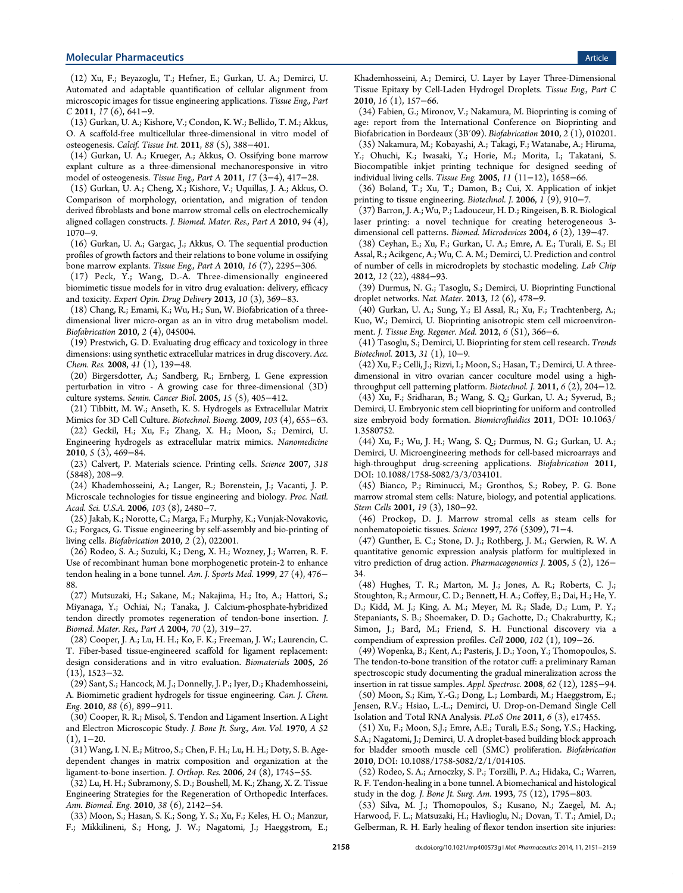<span id="page-7-0"></span>(12) Xu, F.; Beyazoglu, T.; Hefner, E.; Gurkan, U. A.; Demirci, U. Automated and adaptable quantification of cellular alignment from microscopic images for tissue engineering applications. Tissue Eng., Part C 2011, 17 (6), 641−9.

(13) Gurkan, U. A.; Kishore, V.; Condon, K. W.; Bellido, T. M.; Akkus, O. A scaffold-free multicellular three-dimensional in vitro model of osteogenesis. Calcif. Tissue Int. 2011, 88 (5), 388−401.

(14) Gurkan, U. A.; Krueger, A.; Akkus, O. Ossifying bone marrow explant culture as a three-dimensional mechanoresponsive in vitro model of osteogenesis. Tissue Eng., Part A 2011, 17 (3−4), 417−28.

(15) Gurkan, U. A.; Cheng, X.; Kishore, V.; Uquillas, J. A.; Akkus, O. Comparison of morphology, orientation, and migration of tendon derived fibroblasts and bone marrow stromal cells on electrochemically aligned collagen constructs. J. Biomed. Mater. Res., Part A 2010, 94 (4), 1070−9.

(16) Gurkan, U. A.; Gargac, J.; Akkus, O. The sequential production profiles of growth factors and their relations to bone volume in ossifying bone marrow explants. Tissue Eng., Part A 2010, 16 (7), 2295−306.

(17) Peck, Y.; Wang, D.-A. Three-dimensionally engineered biomimetic tissue models for in vitro drug evaluation: delivery, efficacy and toxicity. Expert Opin. Drug Delivery 2013, 10 (3), 369−83.

(18) Chang, R.; Emami, K.; Wu, H.; Sun, W. Biofabrication of a threedimensional liver micro-organ as an in vitro drug metabolism model. Biofabrication 2010, 2 (4), 045004.

(19) Prestwich, G. D. Evaluating drug efficacy and toxicology in three dimensions: using synthetic extracellular matrices in drug discovery. Acc. Chem. Res. 2008, 41 (1), 139−48.

(20) Birgersdotter, A.; Sandberg, R.; Ernberg, I. Gene expression perturbation in vitro - A growing case for three-dimensional (3D) culture systems. Semin. Cancer Biol. 2005, 15 (5), 405−412.

(21) Tibbitt, M. W.; Anseth, K. S. Hydrogels as Extracellular Matrix Mimics for 3D Cell Culture. Biotechnol. Bioeng. 2009, 103 (4), 655−63.

(22) Geckil, H.; Xu, F.; Zhang, X. H.; Moon, S.; Demirci, U. Engineering hydrogels as extracellular matrix mimics. Nanomedicine 2010, 5 (3), 469−84.

(23) Calvert, P. Materials science. Printing cells. Science 2007, 318 (5848), 208−9.

(24) Khademhosseini, A.; Langer, R.; Borenstein, J.; Vacanti, J. P. Microscale technologies for tissue engineering and biology. Proc. Natl. Acad. Sci. U.S.A. 2006, 103 (8), 2480−7.

(25) Jakab, K.; Norotte, C.; Marga, F.; Murphy, K.; Vunjak-Novakovic, G.; Forgacs, G. Tissue engineering by self-assembly and bio-printing of living cells. Biofabrication 2010, 2 (2), 022001.

(26) Rodeo, S. A.; Suzuki, K.; Deng, X. H.; Wozney, J.; Warren, R. F. Use of recombinant human bone morphogenetic protein-2 to enhance tendon healing in a bone tunnel. Am. J. Sports Med. 1999, 27 (4), 476− 88.

(27) Mutsuzaki, H.; Sakane, M.; Nakajima, H.; Ito, A.; Hattori, S.; Miyanaga, Y.; Ochiai, N.; Tanaka, J. Calcium-phosphate-hybridized tendon directly promotes regeneration of tendon-bone insertion. J. Biomed. Mater. Res., Part A 2004, 70 (2), 319−27.

(28) Cooper, J. A.; Lu, H. H.; Ko, F. K.; Freeman, J. W.; Laurencin, C. T. Fiber-based tissue-engineered scaffold for ligament replacement: design considerations and in vitro evaluation. Biomaterials 2005, 26 (13), 1523−32.

(29) Sant, S.; Hancock, M. J.; Donnelly, J. P.; Iyer, D.; Khademhosseini, A. Biomimetic gradient hydrogels for tissue engineering. Can. J. Chem. Eng. 2010, 88 (6), 899−911.

(30) Cooper, R. R.; Misol, S. Tendon and Ligament Insertion. A Light and Electron Microscopic Study. J. Bone Jt. Surg., Am. Vol. 1970, A 52  $(1), 1-20.$ 

(31) Wang, I. N. E.; Mitroo, S.; Chen, F. H.; Lu, H. H.; Doty, S. B. Agedependent changes in matrix composition and organization at the ligament-to-bone insertion. J. Orthop. Res. 2006, 24 (8), 1745−55.

(32) Lu, H. H.; Subramony, S. D.; Boushell, M. K.; Zhang, X. Z. Tissue Engineering Strategies for the Regeneration of Orthopedic Interfaces. Ann. Biomed. Eng. 2010, 38 (6), 2142−54.

(33) Moon, S.; Hasan, S. K.; Song, Y. S.; Xu, F.; Keles, H. O.; Manzur, F.; Mikkilineni, S.; Hong, J. W.; Nagatomi, J.; Haeggstrom, E.;

Khademhosseini, A.; Demirci, U. Layer by Layer Three-Dimensional Tissue Epitaxy by Cell-Laden Hydrogel Droplets. Tissue Eng., Part C 2010, 16 (1), 157−66.

(34) Fabien, G.; Mironov, V.; Nakamura, M. Bioprinting is coming of age: report from the International Conference on Bioprinting and Biofabrication in Bordeaux (3B′09). Biofabrication 2010, 2 (1), 010201.

(35) Nakamura, M.; Kobayashi, A.; Takagi, F.; Watanabe, A.; Hiruma, Y.; Ohuchi, K.; Iwasaki, Y.; Horie, M.; Morita, I.; Takatani, S. Biocompatible inkjet printing technique for designed seeding of individual living cells. Tissue Eng. 2005, 11 (11−12), 1658−66.

(36) Boland, T.; Xu, T.; Damon, B.; Cui, X. Application of inkjet printing to tissue engineering. Biotechnol. J. 2006, 1 (9), 910−7.

(37) Barron, J. A.; Wu, P.; Ladouceur, H. D.; Ringeisen, B. R. Biological laser printing: a novel technique for creating heterogeneous 3 dimensional cell patterns. Biomed. Microdevices 2004, 6 (2), 139−47.

(38) Ceyhan, E.; Xu, F.; Gurkan, U. A.; Emre, A. E.; Turali, E. S.; El Assal, R.; Acikgenc, A.; Wu, C. A. M.; Demirci, U. Prediction and control of number of cells in microdroplets by stochastic modeling. Lab Chip 2012, 12 (22), 4884−93.

(39) Durmus, N. G.; Tasoglu, S.; Demirci, U. Bioprinting Functional droplet networks. Nat. Mater. 2013, 12 (6), 478−9.

(40) Gurkan, U. A.; Sung, Y.; El Assal, R.; Xu, F.; Trachtenberg, A.; Kuo, W.; Demirci, U. Bioprinting anisotropic stem cell microenvironment. J. Tissue Eng. Regener. Med. 2012, 6 (S1), 366−6.

(41) Tasoglu, S.; Demirci, U. Bioprinting for stem cell research. Trends Biotechnol. 2013, 31 (1), 10−9.

(42) Xu, F.; Celli, J.; Rizvi, I.; Moon, S.; Hasan, T.; Demirci, U. A threedimensional in vitro ovarian cancer coculture model using a highthroughput cell patterning platform. Biotechnol. J. 2011, 6 (2), 204−12. (43) Xu, F.; Sridharan, B.; Wang, S. Q.; Gurkan, U. A.; Syverud, B.; Demirci, U. Embryonic stem cell bioprinting for uniform and controlled size embryoid body formation. Biomicrofluidics 2011, DOI: 10.1063/ 1.3580752.

(44) Xu, F.; Wu, J. H.; Wang, S. Q.; Durmus, N. G.; Gurkan, U. A.; Demirci, U. Microengineering methods for cell-based microarrays and high-throughput drug-screening applications. Biofabrication 2011, DOI: 10.1088/1758-5082/3/3/034101.

(45) Bianco, P.; Riminucci, M.; Gronthos, S.; Robey, P. G. Bone marrow stromal stem cells: Nature, biology, and potential applications. Stem Cells 2001, 19 (3), 180−92.

(46) Prockop, D. J. Marrow stromal cells as steam cells for nonhematopoietic tissues. Science 1997, 276 (5309), 71−4.

(47) Gunther, E. C.; Stone, D. J.; Rothberg, J. M.; Gerwien, R. W. A quantitative genomic expression analysis platform for multiplexed in vitro prediction of drug action. Pharmacogenomics J. 2005, 5 (2), 126− 34.

(48) Hughes, T. R.; Marton, M. J.; Jones, A. R.; Roberts, C. J.; Stoughton, R.; Armour, C. D.; Bennett, H. A.; Coffey, E.; Dai, H.; He, Y. D.; Kidd, M. J.; King, A. M.; Meyer, M. R.; Slade, D.; Lum, P. Y.; Stepaniants, S. B.; Shoemaker, D. D.; Gachotte, D.; Chakraburtty, K.; Simon, J.; Bard, M.; Friend, S. H. Functional discovery via a compendium of expression profiles. Cell 2000, 102 (1), 109−26.

(49) Wopenka, B.; Kent, A.; Pasteris, J. D.; Yoon, Y.; Thomopoulos, S. The tendon-to-bone transition of the rotator cuff: a preliminary Raman spectroscopic study documenting the gradual mineralization across the insertion in rat tissue samples. Appl. Spectrosc. 2008, 62 (12), 1285−94.

(50) Moon, S.; Kim, Y.-G.; Dong, L.; Lombardi, M.; Haeggstrom, E.; Jensen, R.V.; Hsiao, L.-L.; Demirci, U. Drop-on-Demand Single Cell Isolation and Total RNA Analysis. PLoS One 2011, 6 (3), e17455.

(51) Xu, F.; Moon, S.J.; Emre, A.E.; Turali, E.S.; Song, Y.S.; Hacking, S.A.; Nagatomi, J.; Demirci, U. A droplet-based building block approach for bladder smooth muscle cell (SMC) proliferation. Biofabrication 2010, DOI: 10.1088/1758-5082/2/1/014105.

(52) Rodeo, S. A.; Arnoczky, S. P.; Torzilli, P. A.; Hidaka, C.; Warren, R. F. Tendon-healing in a bone tunnel. A biomechanical and histological study in the dog. J. Bone Jt. Surg. Am. 1993, 75 (12), 1795−803.

(53) Silva, M. J.; Thomopoulos, S.; Kusano, N.; Zaegel, M. A.; Harwood, F. L.; Matsuzaki, H.; Havlioglu, N.; Dovan, T. T.; Amiel, D.; Gelberman, R. H. Early healing of flexor tendon insertion site injuries: